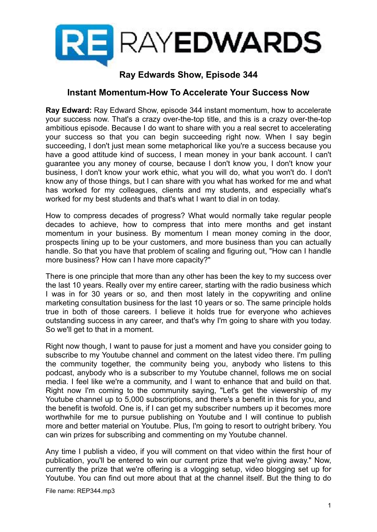

## **Ray Edwards Show, Episode 344**

## **Instant Momentum-How To Accelerate Your Success Now**

**Ray Edward:** Ray Edward Show, episode 344 instant momentum, how to accelerate your success now. That's a crazy over-the-top title, and this is a crazy over-the-top ambitious episode. Because I do want to share with you a real secret to accelerating your success so that you can begin succeeding right now. When I say begin succeeding, I don't just mean some metaphorical like you're a success because you have a good attitude kind of success, I mean money in your bank account. I can't guarantee you any money of course, because I don't know you, I don't know your business, I don't know your work ethic, what you will do, what you won't do. I don't know any of those things, but I can share with you what has worked for me and what has worked for my colleagues, clients and my students, and especially what's worked for my best students and that's what I want to dial in on today.

How to compress decades of progress? What would normally take regular people decades to achieve, how to compress that into mere months and get instant momentum in your business. By momentum I mean money coming in the door, prospects lining up to be your customers, and more business than you can actually handle. So that you have that problem of scaling and figuring out, "How can I handle more business? How can I have more capacity?"

There is one principle that more than any other has been the key to my success over the last 10 years. Really over my entire career, starting with the radio business which I was in for 30 years or so, and then most lately in the copywriting and online marketing consultation business for the last 10 years or so. The same principle holds true in both of those careers. I believe it holds true for everyone who achieves outstanding success in any career, and that's why I'm going to share with you today. So we'll get to that in a moment.

Right now though, I want to pause for just a moment and have you consider going to subscribe to my Youtube channel and comment on the latest video there. I'm pulling the community together, the community being you, anybody who listens to this podcast, anybody who is a subscriber to my Youtube channel, follows me on social media. I feel like we're a community, and I want to enhance that and build on that. Right now I'm coming to the community saying, "Let's get the viewership of my Youtube channel up to 5,000 subscriptions, and there's a benefit in this for you, and the benefit is twofold. One is, if I can get my subscriber numbers up it becomes more worthwhile for me to pursue publishing on Youtube and I will continue to publish more and better material on Youtube. Plus, I'm going to resort to outright bribery. You can win prizes for subscribing and commenting on my Youtube channel.

Any time I publish a video, if you will comment on that video within the first hour of publication, you'll be entered to win our current prize that we're giving away." Now, currently the prize that we're offering is a vlogging setup, video blogging set up for Youtube. You can find out more about that at the channel itself. But the thing to do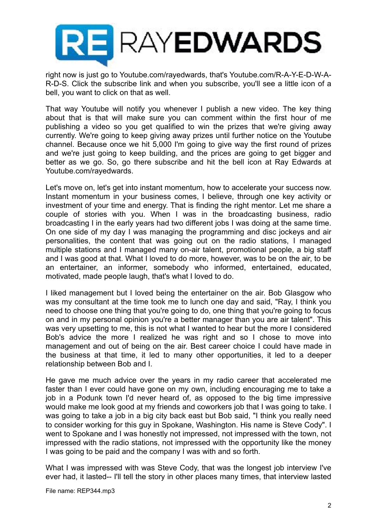

right now is just go to Youtube.com/rayedwards, that's Youtube.com/R-A-Y-E-D-W-A-R-D-S. Click the subscribe link and when you subscribe, you'll see a little icon of a bell, you want to click on that as well.

That way Youtube will notify you whenever I publish a new video. The key thing about that is that will make sure you can comment within the first hour of me publishing a video so you get qualified to win the prizes that we're giving away currently. We're going to keep giving away prizes until further notice on the Youtube channel. Because once we hit 5,000 I'm going to give way the first round of prizes and we're just going to keep building, and the prices are going to get bigger and better as we go. So, go there subscribe and hit the bell icon at Ray Edwards at Youtube.com/rayedwards.

Let's move on, let's get into instant momentum, how to accelerate your success now. Instant momentum in your business comes, I believe, through one key activity or investment of your time and energy. That is finding the right mentor. Let me share a couple of stories with you. When I was in the broadcasting business, radio broadcasting I in the early years had two different jobs I was doing at the same time. On one side of my day I was managing the programming and disc jockeys and air personalities, the content that was going out on the radio stations, I managed multiple stations and I managed many on-air talent, promotional people, a big staff and I was good at that. What I loved to do more, however, was to be on the air, to be an entertainer, an informer, somebody who informed, entertained, educated, motivated, made people laugh, that's what I loved to do.

I liked management but I loved being the entertainer on the air. Bob Glasgow who was my consultant at the time took me to lunch one day and said, "Ray, I think you need to choose one thing that you're going to do, one thing that you're going to focus on and in my personal opinion you're a better manager than you are air talent". This was very upsetting to me, this is not what I wanted to hear but the more I considered Bob's advice the more I realized he was right and so I chose to move into management and out of being on the air. Best career choice I could have made in the business at that time, it led to many other opportunities, it led to a deeper relationship between Bob and I.

He gave me much advice over the years in my radio career that accelerated me faster than I ever could have gone on my own, including encouraging me to take a job in a Podunk town I'd never heard of, as opposed to the big time impressive would make me look good at my friends and coworkers job that I was going to take. I was going to take a job in a big city back east but Bob said, "I think you really need to consider working for this guy in Spokane, Washington. His name is Steve Cody". I went to Spokane and I was honestly not impressed, not impressed with the town, not impressed with the radio stations, not impressed with the opportunity like the money I was going to be paid and the company I was with and so forth.

What I was impressed with was Steve Cody, that was the longest job interview I've ever had, it lasted-- I'll tell the story in other places many times, that interview lasted

File name: REP344.mp3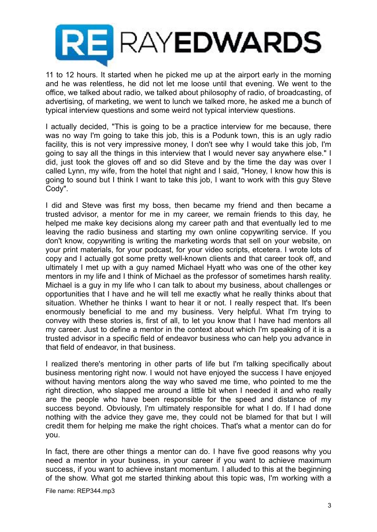

11 to 12 hours. It started when he picked me up at the airport early in the morning and he was relentless, he did not let me loose until that evening. We went to the office, we talked about radio, we talked about philosophy of radio, of broadcasting, of advertising, of marketing, we went to lunch we talked more, he asked me a bunch of typical interview questions and some weird not typical interview questions.

I actually decided, "This is going to be a practice interview for me because, there was no way I'm going to take this job, this is a Podunk town, this is an ugly radio facility, this is not very impressive money, I don't see why I would take this job, I'm going to say all the things in this interview that I would never say anywhere else." I did, just took the gloves off and so did Steve and by the time the day was over I called Lynn, my wife, from the hotel that night and I said, "Honey, I know how this is going to sound but I think I want to take this job, I want to work with this guy Steve Cody".

I did and Steve was first my boss, then became my friend and then became a trusted advisor, a mentor for me in my career, we remain friends to this day, he helped me make key decisions along my career path and that eventually led to me leaving the radio business and starting my own online copywriting service. If you don't know, copywriting is writing the marketing words that sell on your website, on your print materials, for your podcast, for your video scripts, etcetera. I wrote lots of copy and I actually got some pretty well-known clients and that career took off, and ultimately I met up with a guy named Michael Hyatt who was one of the other key mentors in my life and I think of Michael as the professor of sometimes harsh reality. Michael is a guy in my life who I can talk to about my business, about challenges or opportunities that I have and he will tell me exactly what he really thinks about that situation. Whether he thinks I want to hear it or not. I really respect that. It's been enormously beneficial to me and my business. Very helpful. What I'm trying to convey with these stories is, first of all, to let you know that I have had mentors all my career. Just to define a mentor in the context about which I'm speaking of it is a trusted advisor in a specific field of endeavor business who can help you advance in that field of endeavor, in that business.

I realized there's mentoring in other parts of life but I'm talking specifically about business mentoring right now. I would not have enjoyed the success I have enjoyed without having mentors along the way who saved me time, who pointed to me the right direction, who slapped me around a little bit when I needed it and who really are the people who have been responsible for the speed and distance of my success beyond. Obviously, I'm ultimately responsible for what I do. If I had done nothing with the advice they gave me, they could not be blamed for that but I will credit them for helping me make the right choices. That's what a mentor can do for you.

In fact, there are other things a mentor can do. I have five good reasons why you need a mentor in your business, in your career if you want to achieve maximum success, if you want to achieve instant momentum. I alluded to this at the beginning of the show. What got me started thinking about this topic was, I'm working with a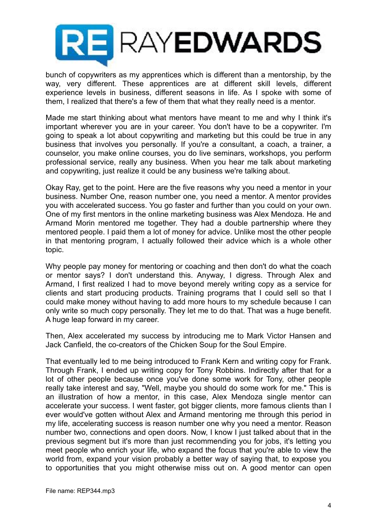

bunch of copywriters as my apprentices which is different than a mentorship, by the way, very different. These apprentices are at different skill levels, different experience levels in business, different seasons in life. As I spoke with some of them, I realized that there's a few of them that what they really need is a mentor.

Made me start thinking about what mentors have meant to me and why I think it's important wherever you are in your career. You don't have to be a copywriter. I'm going to speak a lot about copywriting and marketing but this could be true in any business that involves you personally. If you're a consultant, a coach, a trainer, a counselor, you make online courses, you do live seminars, workshops, you perform professional service, really any business. When you hear me talk about marketing and copywriting, just realize it could be any business we're talking about.

Okay Ray, get to the point. Here are the five reasons why you need a mentor in your business. Number One, reason number one, you need a mentor. A mentor provides you with accelerated success. You go faster and further than you could on your own. One of my first mentors in the online marketing business was Alex Mendoza. He and Armand Morin mentored me together. They had a double partnership where they mentored people. I paid them a lot of money for advice. Unlike most the other people in that mentoring program, I actually followed their advice which is a whole other topic.

Why people pay money for mentoring or coaching and then don't do what the coach or mentor says? I don't understand this. Anyway, I digress. Through Alex and Armand, I first realized I had to move beyond merely writing copy as a service for clients and start producing products. Training programs that I could sell so that I could make money without having to add more hours to my schedule because I can only write so much copy personally. They let me to do that. That was a huge benefit. A huge leap forward in my career.

Then, Alex accelerated my success by introducing me to Mark Victor Hansen and Jack Canfield, the co-creators of the Chicken Soup for the Soul Empire.

That eventually led to me being introduced to Frank Kern and writing copy for Frank. Through Frank, I ended up writing copy for Tony Robbins. Indirectly after that for a lot of other people because once you've done some work for Tony, other people really take interest and say, "Well, maybe you should do some work for me." This is an illustration of how a mentor, in this case, Alex Mendoza single mentor can accelerate your success. I went faster, got bigger clients, more famous clients than I ever would've gotten without Alex and Armand mentoring me through this period in my life, accelerating success is reason number one why you need a mentor. Reason number two, connections and open doors. Now, I know I just talked about that in the previous segment but it's more than just recommending you for jobs, it's letting you meet people who enrich your life, who expand the focus that you're able to view the world from, expand your vision probably a better way of saying that, to expose you to opportunities that you might otherwise miss out on. A good mentor can open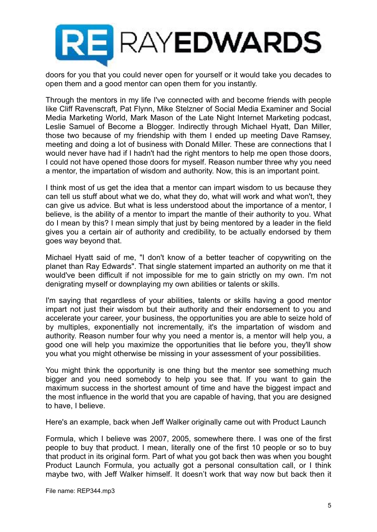

doors for you that you could never open for yourself or it would take you decades to open them and a good mentor can open them for you instantly.

Through the mentors in my life I've connected with and become friends with people like Cliff Ravenscraft, Pat Flynn, Mike Stelzner of Social Media Examiner and Social Media Marketing World, Mark Mason of the Late Night Internet Marketing podcast, Leslie Samuel of Become a Blogger. Indirectly through Michael Hyatt, Dan Miller, those two because of my friendship with them I ended up meeting Dave Ramsey, meeting and doing a lot of business with Donald Miller. These are connections that I would never have had if I hadn't had the right mentors to help me open those doors, I could not have opened those doors for myself. Reason number three why you need a mentor, the impartation of wisdom and authority. Now, this is an important point.

I think most of us get the idea that a mentor can impart wisdom to us because they can tell us stuff about what we do, what they do, what will work and what won't, they can give us advice. But what is less understood about the importance of a mentor, I believe, is the ability of a mentor to impart the mantle of their authority to you. What do I mean by this? I mean simply that just by being mentored by a leader in the field gives you a certain air of authority and credibility, to be actually endorsed by them goes way beyond that.

Michael Hyatt said of me, "I don't know of a better teacher of copywriting on the planet than Ray Edwards". That single statement imparted an authority on me that it would've been difficult if not impossible for me to gain strictly on my own. I'm not denigrating myself or downplaying my own abilities or talents or skills.

I'm saying that regardless of your abilities, talents or skills having a good mentor impart not just their wisdom but their authority and their endorsement to you and accelerate your career, your business, the opportunities you are able to seize hold of by multiples, exponentially not incrementally, it's the impartation of wisdom and authority. Reason number four why you need a mentor is, a mentor will help you, a good one will help you maximize the opportunities that lie before you, they'll show you what you might otherwise be missing in your assessment of your possibilities.

You might think the opportunity is one thing but the mentor see something much bigger and you need somebody to help you see that. If you want to gain the maximum success in the shortest amount of time and have the biggest impact and the most influence in the world that you are capable of having, that you are designed to have, I believe.

Here's an example, back when Jeff Walker originally came out with Product Launch

Formula, which I believe was 2007, 2005, somewhere there. I was one of the first people to buy that product. I mean, literally one of the first 10 people or so to buy that product in its original form. Part of what you got back then was when you bought Product Launch Formula, you actually got a personal consultation call, or I think maybe two, with Jeff Walker himself. It doesn't work that way now but back then it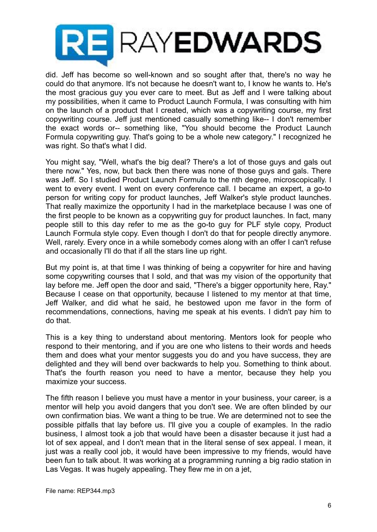

did. Jeff has become so well-known and so sought after that, there's no way he could do that anymore. It's not because he doesn't want to, I know he wants to. He's the most gracious guy you ever care to meet. But as Jeff and I were talking about my possibilities, when it came to Product Launch Formula, I was consulting with him on the launch of a product that I created, which was a copywriting course, my first copywriting course. Jeff just mentioned casually something like-- I don't remember the exact words or-- something like, "You should become the Product Launch Formula copywriting guy. That's going to be a whole new category." I recognized he was right. So that's what I did.

You might say, "Well, what's the big deal? There's a lot of those guys and gals out there now." Yes, now, but back then there was none of those guys and gals. There was Jeff. So I studied Product Launch Formula to the nth degree, microscopically. I went to every event. I went on every conference call. I became an expert, a go-to person for writing copy for product launches, Jeff Walker's style product launches. That really maximize the opportunity I had in the marketplace because I was one of the first people to be known as a copywriting guy for product launches. In fact, many people still to this day refer to me as the go-to guy for PLF style copy, Product Launch Formula style copy. Even though I don't do that for people directly anymore. Well, rarely. Every once in a while somebody comes along with an offer I can't refuse and occasionally I'll do that if all the stars line up right.

But my point is, at that time I was thinking of being a copywriter for hire and having some copywriting courses that I sold, and that was my vision of the opportunity that lay before me. Jeff open the door and said, "There's a bigger opportunity here, Ray." Because I cease on that opportunity, because I listened to my mentor at that time, Jeff Walker, and did what he said, he bestowed upon me favor in the form of recommendations, connections, having me speak at his events. I didn't pay him to do that.

This is a key thing to understand about mentoring. Mentors look for people who respond to their mentoring, and if you are one who listens to their words and heeds them and does what your mentor suggests you do and you have success, they are delighted and they will bend over backwards to help you. Something to think about. That's the fourth reason you need to have a mentor, because they help you maximize your success.

The fifth reason I believe you must have a mentor in your business, your career, is a mentor will help you avoid dangers that you don't see. We are often blinded by our own confirmation bias. We want a thing to be true. We are determined not to see the possible pitfalls that lay before us. I'll give you a couple of examples. In the radio business, I almost took a job that would have been a disaster because it just had a lot of sex appeal, and I don't mean that in the literal sense of sex appeal. I mean, it just was a really cool job, it would have been impressive to my friends, would have been fun to talk about. It was working at a programming running a big radio station in Las Vegas. It was hugely appealing. They flew me in on a jet,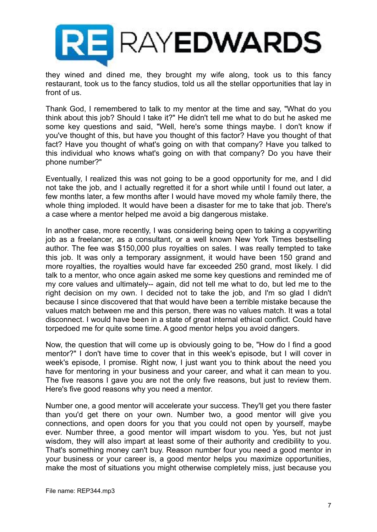

they wined and dined me, they brought my wife along, took us to this fancy restaurant, took us to the fancy studios, told us all the stellar opportunities that lay in front of us.

Thank God, I remembered to talk to my mentor at the time and say, "What do you think about this job? Should I take it?" He didn't tell me what to do but he asked me some key questions and said, "Well, here's some things maybe. I don't know if you've thought of this, but have you thought of this factor? Have you thought of that fact? Have you thought of what's going on with that company? Have you talked to this individual who knows what's going on with that company? Do you have their phone number?"

Eventually, I realized this was not going to be a good opportunity for me, and I did not take the job, and I actually regretted it for a short while until I found out later, a few months later, a few months after I would have moved my whole family there, the whole thing imploded. It would have been a disaster for me to take that job. There's a case where a mentor helped me avoid a big dangerous mistake.

In another case, more recently, I was considering being open to taking a copywriting job as a freelancer, as a consultant, or a well known New York Times bestselling author. The fee was \$150,000 plus royalties on sales. I was really tempted to take this job. It was only a temporary assignment, it would have been 150 grand and more royalties, the royalties would have far exceeded 250 grand, most likely. I did talk to a mentor, who once again asked me some key questions and reminded me of my core values and ultimately-- again, did not tell me what to do, but led me to the right decision on my own. I decided not to take the job, and I'm so glad I didn't because I since discovered that that would have been a terrible mistake because the values match between me and this person, there was no values match. It was a total disconnect. I would have been in a state of great internal ethical conflict. Could have torpedoed me for quite some time. A good mentor helps you avoid dangers.

Now, the question that will come up is obviously going to be, "How do I find a good mentor?" I don't have time to cover that in this week's episode, but I will cover in week's episode, I promise. Right now, I just want you to think about the need you have for mentoring in your business and your career, and what it can mean to you. The five reasons I gave you are not the only five reasons, but just to review them. Here's five good reasons why you need a mentor.

Number one, a good mentor will accelerate your success. They'll get you there faster than you'd get there on your own. Number two, a good mentor will give you connections, and open doors for you that you could not open by yourself, maybe ever. Number three, a good mentor will impart wisdom to you. Yes, but not just wisdom, they will also impart at least some of their authority and credibility to you. That's something money can't buy. Reason number four you need a good mentor in your business or your career is, a good mentor helps you maximize opportunities, make the most of situations you might otherwise completely miss, just because you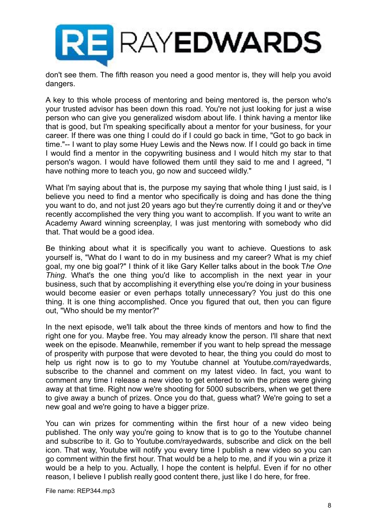

don't see them. The fifth reason you need a good mentor is, they will help you avoid dangers.

A key to this whole process of mentoring and being mentored is, the person who's your trusted advisor has been down this road. You're not just looking for just a wise person who can give you generalized wisdom about life. I think having a mentor like that is good, but I'm speaking specifically about a mentor for your business, for your career. If there was one thing I could do if I could go back in time, "Got to go back in time."-- I want to play some Huey Lewis and the News now. If I could go back in time I would find a mentor in the copywriting business and I would hitch my star to that person's wagon. I would have followed them until they said to me and I agreed, "I have nothing more to teach you, go now and succeed wildly."

What I'm saying about that is, the purpose my saying that whole thing I just said, is I believe you need to find a mentor who specifically is doing and has done the thing you want to do, and not just 20 years ago but they're currently doing it and or they've recently accomplished the very thing you want to accomplish. If you want to write an Academy Award winning screenplay, I was just mentoring with somebody who did that. That would be a good idea.

Be thinking about what it is specifically you want to achieve. Questions to ask yourself is, "What do I want to do in my business and my career? What is my chief goal, my one big goal?" I think of it like Gary Keller talks about in the book T*he One Thing*. What's the one thing you'd like to accomplish in the next year in your business, such that by accomplishing it everything else you're doing in your business would become easier or even perhaps totally unnecessary? You just do this one thing. It is one thing accomplished. Once you figured that out, then you can figure out, "Who should be my mentor?"

In the next episode, we'll talk about the three kinds of mentors and how to find the right one for you. Maybe free. You may already know the person. I'll share that next week on the episode. Meanwhile, remember if you want to help spread the message of prosperity with purpose that were devoted to hear, the thing you could do most to help us right now is to go to my Youtube channel at Youtube.com/rayedwards, subscribe to the channel and comment on my latest video. In fact, you want to comment any time I release a new video to get entered to win the prizes were giving away at that time. Right now we're shooting for 5000 subscribers, when we get there to give away a bunch of prizes. Once you do that, guess what? We're going to set a new goal and we're going to have a bigger prize.

You can win prizes for commenting within the first hour of a new video being published. The only way you're going to know that is to go to the Youtube channel and subscribe to it. Go to Youtube.com/rayedwards, subscribe and click on the bell icon. That way, Youtube will notify you every time I publish a new video so you can go comment within the first hour. That would be a help to me, and if you win a prize it would be a help to you. Actually, I hope the content is helpful. Even if for no other reason, I believe I publish really good content there, just like I do here, for free.